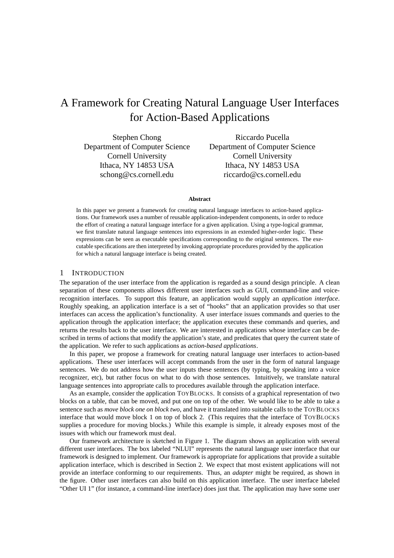# A Framework for Creating Natural Language User Interfaces for Action-Based Applications

Stephen Chong Department of Computer Science Cornell University Ithaca, NY 14853 USA schong@cs.cornell.edu

Riccardo Pucella Department of Computer Science Cornell University Ithaca, NY 14853 USA riccardo@cs.cornell.edu

#### **Abstract**

In this paper we present a framework for creating natural language interfaces to action-based applications. Our framework uses a number of reusable application-independent components, in order to reduce the effort of creating a natural language interface for a given application. Using a type-logical grammar, we first translate natural language sentences into expressions in an extended higher-order logic. These expressions can be seen as executable specifications corresponding to the original sentences. The executable specifications are then interpreted by invoking appropriate procedures provided by the application for which a natural language interface is being created.

### 1 INTRODUCTION

The separation of the user interface from the application is regarded as a sound design principle. A clean separation of these components allows different user interfaces such as GUI, command-line and voicerecognition interfaces. To support this feature, an application would supply an *application interface*. Roughly speaking, an application interface is a set of "hooks" that an application provides so that user interfaces can access the application's functionality. A user interface issues commands and queries to the application through the application interface; the application executes these commands and queries, and returns the results back to the user interface. We are interested in applications whose interface can be described in terms of actions that modify the application's state, and predicates that query the current state of the application. We refer to such applications as *action-based applications*.

In this paper, we propose a framework for creating natural language user interfaces to action-based applications. These user interfaces will accept commands from the user in the form of natural language sentences. We do not address how the user inputs these sentences (by typing, by speaking into a voice recognizer, etc), but rather focus on what to do with those sentences. Intuitively, we translate natural language sentences into appropriate calls to procedures available through the application interface.

As an example, consider the application TOYBLOCKS. It consists of a graphical representation of two blocks on a table, that can be moved, and put one on top of the other. We would like to be able to take a sentence such as *move block one on block two*, and have it translated into suitable calls to the TOYBLOCKS interface that would move block 1 on top of block 2. (This requires that the interface of TOYBLOCKS supplies a procedure for moving blocks.) While this example is simple, it already exposes most of the issues with which our framework must deal.

Our framework architecture is sketched in Figure 1. The diagram shows an application with several different user interfaces. The box labeled "NLUI" represents the natural language user interface that our framework is designed to implement. Our framework is appropriate for applications that provide a suitable application interface, which is described in Section 2. We expect that most existent applications will not provide an interface conforming to our requirements. Thus, an *adapter* might be required, as shown in the figure. Other user interfaces can also build on this application interface. The user interface labeled "Other UI 1" (for instance, a command-line interface) does just that. The application may have some user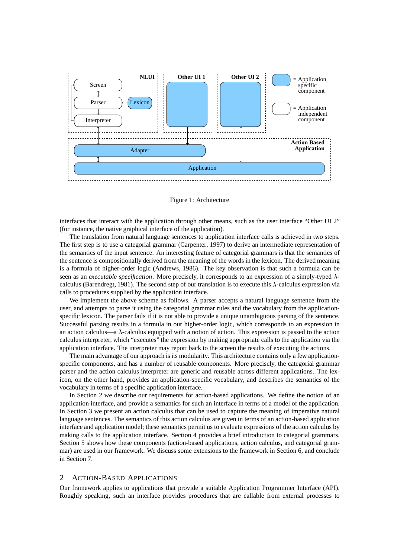

Figure 1: Architecture

interfaces that interact with the application through other means, such as the user interface "Other UI 2" (for instance, the native graphical interface of the application).

The translation from natural language sentences to application interface calls is achieved in two steps. The first step is to use a categorial grammar (Carpenter, 1997) to derive an intermediate representation of the semantics of the input sentence. An interesting feature of categorial grammars is that the semantics of the sentence is compositionally derived from the meaning of the words in the lexicon. The derived meaning is a formula of higher-order logic (Andrews, 1986). The key observation is that such a formula can be seen as an *executable specification*. More precisely, it corresponds to an expression of a simply-typed calculus (Barendregt, 1981). The second step of our translation is to execute this  $\lambda$ -calculus expression via calls to procedures supplied by the application interface.

We implement the above scheme as follows. A parser accepts a natural language sentence from the user, and attempts to parse it using the categorial grammar rules and the vocabulary from the applicationspecific lexicon. The parser fails if it is not able to provide a unique unambiguous parsing of the sentence. Successful parsing results in a formula in our higher-order logic, which corresponds to an expression in an action calculus—a  $\lambda$ -calculus equipped with a notion of action. This expression is passed to the action calculus interpreter, which "executes" the expression by making appropriate calls to the application via the application interface. The interpreter may report back to the screen the results of executing the actions.

The main advantage of our approach is its modularity. This architecture contains only a few applicationspecific components, and has a number of reusable components. More precisely, the categorial grammar parser and the action calculus interpreter are generic and reusable across different applications. The lexicon, on the other hand, provides an application-specific vocabulary, and describes the semantics of the vocabulary in terms of a specific application interface.

In Section 2 we describe our requirements for action-based applications. We define the notion of an application interface, and provide a semantics for such an interface in terms of a model of the application. In Section 3 we present an action calculus that can be used to capture the meaning of imperative natural language sentences. The semantics of this action calculus are given in terms of an action-based application interface and application model; these semantics permit us to evaluate expressions of the action calculus by making calls to the application interface. Section 4 provides a brief introduction to categorial grammars. Section 5 shows how these components (action-based applications, action calculus, and categorial grammar) are used in our framework. We discuss some extensions to the framework in Section 6, and conclude in Section 7.

#### 2 ACTION-BASED APPLICATIONS

Our framework applies to applications that provide a suitable Application Programmer Interface (API). Roughly speaking, such an interface provides procedures that are callable from external processes to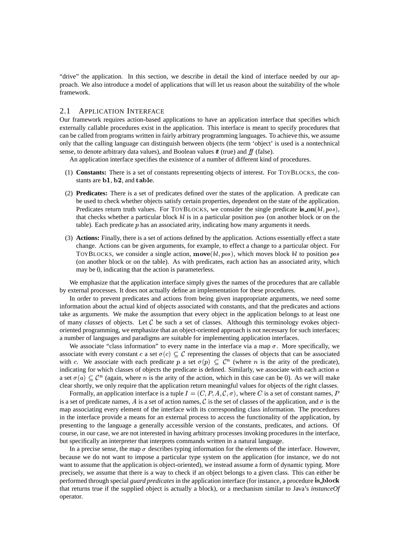"drive" the application. In this section, we describe in detail the kind of interface needed by our approach. We also introduce a model of applications that will let us reason about the suitability of the whole framework.

### 2.1 APPLICATION INTERFACE

Our framework requires action-based applications to have an application interface that specifies which externally callable procedures exist in the application. This interface is meant to specify procedures that can be called from programs written in fairly arbitrary programming languages. To achieve this, we assume only that the calling language can distinguish between objects (the term 'object' is used is a nontechnical sense, to denote arbitrary data values), and Boolean values  $t\bar{t}$  (true) and  $f\bar{f}$  (false).

An application interface specifies the existence of a number of different kind of procedures.

- (1) **Constants:** There is a set of constants representing objects of interest. For TOYBLOCKS, the constants are  $\mathbf{b1}, \mathbf{b2},$  and  $\mathbf{table}$ .
- (2) **Predicates:** There is a set of predicates defined over the states of the application. A predicate can be used to check whether objects satisfy certain properties, dependent on the state of the application. Predicates return truth values. For TOYBLOCKS, we consider the single predicate is on  $(bl, pos)$ , that checks whether a particular block  $bl$  is in a particular position  $pos$  (on another block or on the table). Each predicate  $p$  has an associated arity, indicating how many arguments it needs.
- (3) **Actions:** Finally, there is a set of actions defined by the application. Actions essentially effect a state change. Actions can be given arguments, for example, to effect a change to a particular object. For TOYBLOCKS, we consider a single action,  $\mathbf{move}(bl, pos)$ , which moves block  $bl$  to position pos (on another block or on the table). As with predicates, each action has an associated arity, which may be 0, indicating that the action is parameterless.

We emphasize that the application interface simply gives the names of the procedures that are callable by external processes. It does not actually define an implementation for these procedures.

In order to prevent predicates and actions from being given inappropriate arguments, we need some information about the actual kind of objects associated with constants, and that the predicates and actions take as arguments. We make the assumption that every object in the application belongs to at least one of many *classes* of objects. Let  $C$  be such a set of classes. Although this terminology evokes objectoriented programming, we emphasize that an object-oriented approach is not necessary for such interfaces; a number of languages and paradigms are suitable for implementing application interfaces.

We associate "class information" to every name in the interface via a map  $\sigma$ . More specifically, we associate with every constant c a set  $\sigma(c) \subseteq \mathcal{C}$  representing the classes of objects that can be associated with c. We associate with each predicate p a set  $\sigma(p) \subseteq C^n$  (where n is the arity of the predicate), indicating for which classes of objects the predicate is defined. Similarly, we associate with each action  $\alpha$ a set  $\sigma(a) \subset \mathcal{C}^n$  (again, where *n* is the arity of the action, which in this case can be 0). As we will make clear shortly, we only require that the application return meaningful values for objects of the right classes.

Formally, an application interface is a tuple  $I = (C, P, A, C, \sigma)$ , where C is a set of constant names, P is a set of predicate names, A is a set of action names, C is the set of classes of the application, and  $\sigma$  is the map associating every element of the interface with its corresponding class information. The procedures in the interface provide a means for an external process to access the functionality of the application, by presenting to the language a generally accessible version of the constants, predicates, and actions. Of course, in our case, we are not interested in having arbitrary processes invoking procedures in the interface, but specifically an interpreter that interprets commands written in a natural language.

In a precise sense, the map  $\sigma$  describes typing information for the elements of the interface. However, because we do not want to impose a particular type system on the application (for instance, we do not want to assume that the application is object-oriented), we instead assume a form of dynamic typing. More precisely, we assume that there is a way to check if an object belongs to a given class. This can either be performed through special *guard predicates* in the application interface (for instance, a procedure is **block** that returns true if the supplied object is actually a block), or a mechanism similar to Java's *instanceOf* operator.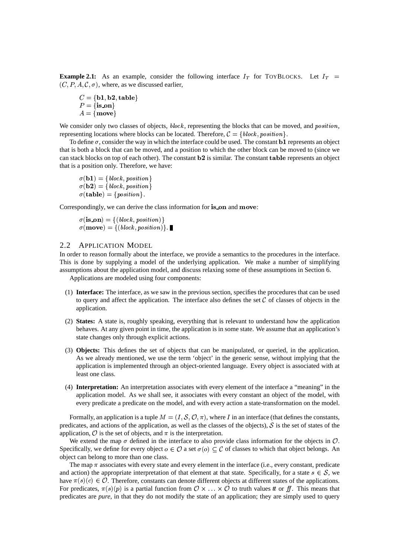**Example 2.1:** As an example, consider the following interface  $I_T$  for TOYBLOCKS. Let  $I_T$  $(C, P, A, C, \sigma)$ , where, as we discussed earlier,

 $\overline{\phantom{a}}$  $\blacksquare$  -up to the contract of the contract of the contract of the contract of the contract of the contract of the contract of the contract of the contract of the contract of the contract of the contract of the contract of  $A = \{move\}$ 

We consider only two classes of objects,  $block$ , representing the blocks that can be moved, and  $position$ , representing locations where blocks can be located. Therefore,  $\mathcal{C} = \{block, position\}.$ 

To define  $\sigma$ , consider the way in which the interface could be used. The constant **b1** represents an object that is both a block that can be moved, and a position to which the other block can be moved to (since we can stack blocks on top of each other). The constant  $b2$  is similar. The constant  $table$  represents an object that is a position only. Therefore, we have:

 $\sigma(\mathbf{b1}) = \{ \text{block}, \text{position} \}$  $\sigma(\mathbf{b2}) = \{ \, block, \, position\}$ 13f & T
%AVQ!.#\[^][!d`eUhg

Correspondingly, we can derive the class information for is on and move:

13 -%ARQhG'b!XZY8!.#Z[^]\_[!.`i%\U  $\sigma(\textbf{move}) = \{(block, position)\}.$ 

# 2.2 APPLICATION MODEL

In order to reason formally about the interface, we provide a semantics to the procedures in the interface. This is done by supplying a model of the underlying application. We make a number of simplifying assumptions about the application model, and discuss relaxing some of these assumptions in Section 6.

Applications are modeled using four components:

- (1) **Interface:** The interface, as we saw in the previous section, specifies the procedures that can be used to query and affect the application. The interface also defines the set  $C$  of classes of objects in the application.
- (2) **States:** A state is, roughly speaking, everything that is relevant to understand how the application behaves. At any given point in time, the application is in some state. We assume that an application's state changes only through explicit actions.
- (3) **Objects:** This defines the set of objects that can be manipulated, or queried, in the application. As we already mentioned, we use the term 'object' in the generic sense, without implying that the application is implemented through an object-oriented language. Every object is associated with at least one class.
- (4) **Interpretation:** An interpretation associates with every element of the interface a "meaning" in the application model. As we shall see, it associates with every constant an object of the model, with every predicate a predicate on the model, and with every action a state-transformation on the model.

Formally, an application is a tuple  $M = (I, S, \mathcal{O}, \pi)$ , where I in an interface (that defines the constants, predicates, and actions of the application, as well as the classes of the objects),  $\mathcal S$  is the set of states of the application,  $\hat{O}$  is the set of objects, and  $\pi$  is the interpretation.

We extend the map  $\sigma$  defined in the interface to also provide class information for the objects in  $\mathcal{O}$ . Specifically, we define for every object  $o \in \mathcal{O}$  a set  $\sigma(o) \subset \mathcal{C}$  of classes to which that object belongs. An object can belong to more than one class.

The map  $\pi$  associates with every state and every element in the interface (i.e., every constant, predicate and action) the appropriate interpretation of that element at that state. Specifically, for a state  $s \in \mathcal{S}$ , we have  $\pi(s)(c) \in \mathcal{O}$ . Therefore, constants can denote different objects at different states of the applications. For predicates,  $\pi(s)(p)$  is a partial function from  $\mathcal{O} \times \ldots \times \mathcal{O}$  to truth values *t* or ff. This means that predicates are *pure*, in that they do not modify the state of an application; they are simply used to query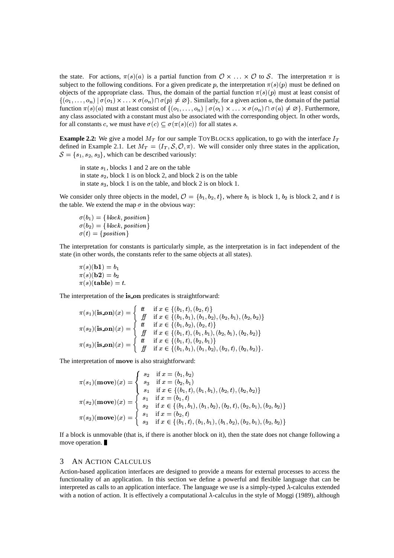the state. For actions,  $\pi(s)(a)$  is a partial function from  $\mathcal{O}\times\ldots\times\mathcal{O}$  to  $\mathcal{S}$ . The interpretation  $\pi$  is subject to the following conditions. For a given predicate p, the interpretation  $\pi(s)(p)$  must be defined on objects of the appropriate class. Thus, the domain of the partial function  $\pi(s)(p)$  must at least consist of  $\{(o_1,\ldots,o_n) \mid \sigma(o_1) \times \ldots \times \sigma(o_n) \cap \sigma(p) \neq \emptyset\}$ . Similarly, for a given action a, the domain of the partial function  $\pi(s)(a)$  must at least consist of  $\{(o_1,\ldots,o_n) \mid \sigma(o_1) \times \ldots \times \sigma(o_n) \cap \sigma(a) \neq \emptyset\}$ . Furthermore, any class associated with a constant must also be associated with the corresponding object. In other words, for all constants c, we must have  $\sigma(c) \subset \sigma(\pi(s)(c))$  for all states s.

**Example 2.2:** We give a model  $M_T$  for our sample TOYBLOCKS application, to go with the interface  $I_T$ defined in Example 2.1. Let  $M_T = (I_T, \mathcal{S}, \mathcal{O}, \pi)$ . We will consider only three states in the application,  $S = \{s_1, s_2, s_3\}$ , which can be described variously:

in state  $s_1$ , blocks 1 and 2 are on the table in state  $s_2$ , block 1 is on block 2, and block 2 is on the table in state  $s_3$ , block 1 is on the table, and block 2 is on block 1.

We consider only three objects in the model,  $\mathcal{O} = \{b_1, b_2, t\}$ , where  $b_1$  is block 1,  $b_2$  is block 2, and t is the table. We extend the map  $\sigma$  in the obvious way:

 $\sigma(b_1) = \{ \, block, \, position\}$  $\sigma(b_2) = \{ \, block, \, position\}$  $\sigma(t) = \{position\}$ 

The interpretation for constants is particularly simple, as the interpretation is in fact independent of the state (in other words, the constants refer to the same objects at all states).

 $\pi(s)(b1) = b_1$  $\pi(s)(\mathbf{b2}) = b_2$ qv\$%' TK
%A\g

The interpretation of the is\_on predicates is straightforward:

$$
\pi(s_1)(\mathbf{is}.\mathbf{on})(x) = \begin{cases}\n t & \text{if } x \in \{(b_1, t), (b_2, t)\} \\
 f f & \text{if } x \in \{(b_1, b_1), (b_1, b_2), (b_2, b_1), (b_2, b_2)\} \\
 t & \text{if } x \in \{(b_1, b_2), (b_2, t)\} \\
 f f & \text{if } x \in \{(b_1, t), (b_1, b_1), (b_2, b_1), (b_2, b_2)\} \\
 f f & \text{if } x \in \{(b_1, t), (b_1, b_1), (b_2, b_1), (b_2, b_2)\} \\
 f f & \text{if } x \in \{(b_1, t), (b_2, b_1)\} \\
 f f & \text{if } x \in \{(b_1, b_1), (b_1, b_2), (b_2, t), (b_2, b_2)\}.\n\end{cases}
$$

The interpretation of **move** is also straightforward:

$$
\pi(s_1)(\textbf{move})(x) = \begin{cases}\ns_2 & \text{if } x = (b_1, b_2) \\
s_3 & \text{if } x = (b_2, b_1) \\
s_1 & \text{if } x \in \{(b_1, t), (b_1, b_1), (b_2, t), (b_2, b_2)\} \\
s_1 & \text{if } x = (b_1, t) \\
s_2 & \text{if } x \in \{(b_1, b_1), (b_1, b_2), (b_2, t), (b_2, b_1), (b_2, b_2)\} \\
\pi(s_3)(\textbf{move})(x) = \begin{cases}\ns_1 & \text{if } x = (b_2, t) \\
s_3 & \text{if } x \in \{(b_1, t), (b_1, b_1), (b_1, b_2), (b_2, b_1), (b_2, b_2)\}\n\end{cases}
$$

If a block is unmovable (that is, if there is another block on it), then the state does not change following a move operation.

# 3 AN ACTION CALCULUS

Action-based application interfaces are designed to provide a means for external processes to access the functionality of an application. In this section we define a powerful and flexible language that can be interpreted as calls to an application interface. The language we use is a simply-typed  $\lambda$ -calculus extended with a notion of action. It is effectively a computational  $\lambda$ -calculus in the style of Moggi (1989), although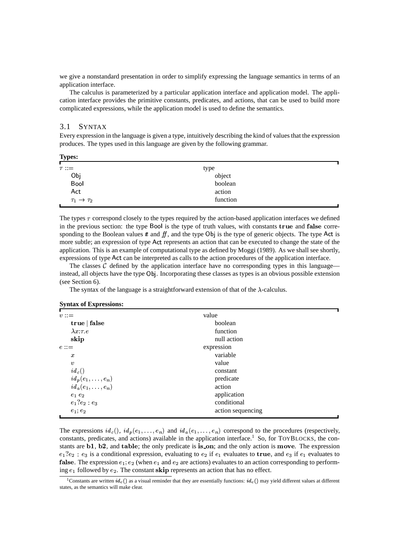we give a nonstandard presentation in order to simplify expressing the language semantics in terms of an application interface.

The calculus is parameterized by a particular application interface and application model. The application interface provides the primitive constants, predicates, and actions, that can be used to build more complicated expressions, while the application model is used to define the semantics.

# 3.1 SYNTAX

Every expression in the language is given a type, intuitively describing the kind of valuesthat the expression produces. The types used in this language are given by the following grammar.

| <b>Types:</b>               |          |  |
|-----------------------------|----------|--|
| $\tau ::=$                  | type     |  |
| Obj<br>Bool                 | object   |  |
|                             | boolean  |  |
| Act                         | action   |  |
| $\tau_1 \rightarrow \tau_2$ | function |  |

The types  $\tau$  correspond closely to the types required by the action-based application interfaces we defined in the previous section: the type Bool is the type of truth values, with constants **true** and **false** corresponding to the Boolean values  $t \in \mathcal{H}$  and the type Obj is the type of generic objects. The type Act is more subtle; an expression of type Act represents an action that can be executed to change the state of the application. This is an example of computational type as defined by Moggi (1989). As we shall see shortly, expressions of type Act can be interpreted as calls to the action procedures of the application interface.

The classes  $\mathcal C$  defined by the application interface have no corresponding types in this language instead, all objects have the type Obj. Incorporating these classes as types is an obvious possible extension (see Section 6).

The syntax of the language is a straightforward extension of that of the  $\lambda$ -calculus.

#### **Syntax of Expressions:**

| $v ::=$                    | value             |
|----------------------------|-------------------|
| true   false               | boolean           |
| $\lambda x$ : $\tau$ . $e$ | function          |
| skip                       | null action       |
| $e ::=$                    | expression        |
| $\boldsymbol{x}$           | variable          |
| $\boldsymbol{v}$           | value             |
| $id_c()$                   | constant          |
| $id_p(e_1,\ldots,e_n)$     | predicate         |
| $id_a(e_1,\ldots,e_n)$     | action            |
| $e_1e_2$                   | application       |
| $e_1?e_2:e_3$              | conditional       |
| $e_1; e_2$                 | action sequencing |

The expressions  $id_c()$ ,  $id_p(e_1, \ldots, e_n)$  and  $id_a(e_1, \ldots, e_n)$  correspond to the procedures (respectively, constants, predicates, and actions) available in the application interface.<sup>1</sup> So, for TOYBLOCKS, the constants are  $b1$ ,  $b2$ , and table; the only predicate is is on; and the only action is move. The expression  $e_1$ ? $e_2$ :  $e_3$  is a conditional expression, evaluating to  $e_2$  if  $e_1$  evaluates to **true**, and  $e_3$  if  $e_1$  evaluates to **false**. The expression  $e_1$ ;  $e_2$  (when  $e_1$  and  $e_2$  are actions) evaluates to an action corresponding to performing  $e_1$  followed by  $e_2$ . The constant **skip** represents an action that has no effect.

<sup>&</sup>lt;sup>1</sup>Constants are written  $id_c()$  as a visual reminder that they are essentially functions:  $id_c()$  may yield different values at different states, as the semantics will make clear.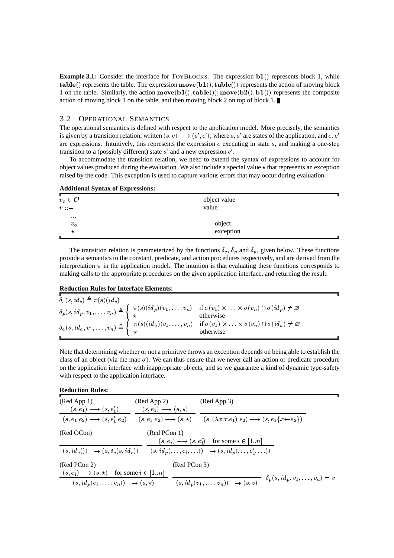**Example 3.1:** Consider the interface for TOYBLOCKS. The expression **b1**() represents block 1, while **table**() represents the table. The expression  $\mathbf{move}(\mathbf{b1}()$ ,  $\mathbf{table}(()$  represents the action of moving block 1 on the table. Similarly, the action  $move(b1(), table())$ ;  $move(b2(), b1())$  represents the composite action of moving block 1 on the table, and then moving block 2 on top of block 1.

#### $3.2$ **OPERATIONAL SEMANTICS**

The operational semantics is defined with respect to the application model. More precisely, the semantics is given by a transition relation, written  $(s, e) \rightarrow (s', e')$ , where s, s' are states of the application, and e, e' are expressions. Intuitively, this represents the expression  $e$  executing in state  $s$ , and making a one-step transition to a (possibly different) state  $s'$  and a new expression  $e'$ .

To accommodate the transition relation, we need to extend the syntax of expressions to account for object values produced during the evaluation. We also include a special value  $\star$  that represents an exception raised by the code. This exception is used to capture various errors that may occur during evaluation.

#### **Additional Syntax of Expressions:**

| $v_o \in \mathcal{O}$<br>$v ::=$ | object value<br>value |  |
|----------------------------------|-----------------------|--|
| $\cdots$<br>$v_o$<br>*           | object<br>exception   |  |

The transition relation is parameterized by the functions  $\delta_c$ ,  $\delta_p$  and  $\delta_p$ , given below. These functions provide a semantics to the constant, predicate, and action procedures respectively, and are derived from the interpretation  $\pi$  in the application model. The intuition is that evaluating these functions corresponds to making calls to the appropriate procedures on the given application interface, and returning the result.

#### **Reduction Rules for Interface Elements:**

| $\delta_c(s, id_c) \triangleq \pi(s) (id_c)$ |                                                                                                                                                                                                                                                                                                                                                                                                                                                                          |
|----------------------------------------------|--------------------------------------------------------------------------------------------------------------------------------------------------------------------------------------------------------------------------------------------------------------------------------------------------------------------------------------------------------------------------------------------------------------------------------------------------------------------------|
|                                              |                                                                                                                                                                                                                                                                                                                                                                                                                                                                          |
|                                              | $\delta_p(s, id_p, v_1, \ldots, v_n) \triangleq \begin{cases} \pi(s)(id_p)(v_1, \ldots, v_n) & \text{if } \sigma(v_1) \times \ldots \times \sigma(v_n) \cap \sigma(id_p) \neq \varnothing \\ \star & \text{otherwise} \end{cases}$<br>$\delta_a(s, id_a, v_1, \ldots, v_n) \triangleq \begin{cases} \pi(s)(id_a)(v_1, \ldots, v_n) & \text{if } \sigma(v_1) \times \ldots \times \sigma(v_n) \cap \sigma(id_a) \neq \varnothing \\ \star & \text{otherwise} \end{cases}$ |

Note that determining whether or not a primitive throws an exception depends on being able to establish the class of an object (via the map  $\sigma$ ). We can thus ensure that we never call an action or predicate procedure on the application interface with inappropriate objects, and so we guarantee a kind of dynamic type-safety with respect to the application interface.

#### **Reduction Rules:**

| (Red App 1)<br>$(s, e_1) \longrightarrow (s, e'_1)$                         | (Red App 2)<br>$(s, e_1) \longrightarrow (s, \star)$ | (Red App 3)                                                                                                                                                      |
|-----------------------------------------------------------------------------|------------------------------------------------------|------------------------------------------------------------------------------------------------------------------------------------------------------------------|
|                                                                             |                                                      | $(s, e_1 e_2) \rightarrow (s, e'_1 e_2)$ $(s, e_1 e_2) \rightarrow (s, \star)$ $(s, (\lambda x : \tau \cdot e_1) e_2) \rightarrow (s, e_1 \{x \leftarrow e_2\})$ |
| (Red OCon)                                                                  | (Red PCon 1)                                         | $(s, e_i) \longrightarrow (s, e'_i)$ for some $i \in [1n]$                                                                                                       |
|                                                                             |                                                      | $(s, id_c)) \longrightarrow (s, \delta_c(s, id_c))$ $(s, id_p(\ldots, e_i, \ldots)) \longrightarrow (s, id_p(\ldots, e'_i, \ldots))$                             |
| (Red PCon 2)<br>$(s, e_i) \longrightarrow (s, \star)$ for some $i \in [1n]$ | (Red PCon 3)                                         |                                                                                                                                                                  |
| $(s, id_p(e_1, \ldots, e_n)) \longrightarrow (s, \star)$                    |                                                      | $\delta_p(s, id_p, v_1, \ldots, v_n) = v$<br>$(s, id_p(v_1, \ldots, v_n)) \longrightarrow (s, v)$                                                                |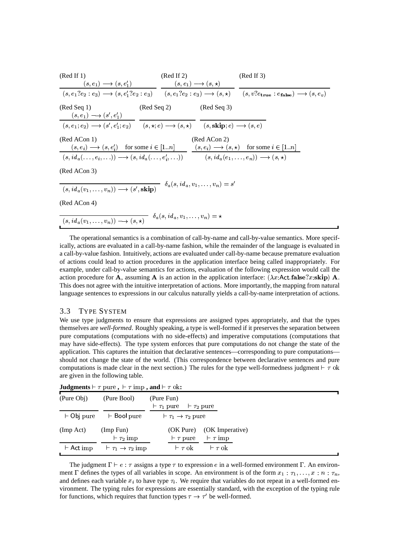| (Red If 1)                                                                                                                                | $(Red \, If \, 2)$                          |                                            | (Red If 3)                                                                                                                                      |
|-------------------------------------------------------------------------------------------------------------------------------------------|---------------------------------------------|--------------------------------------------|-------------------------------------------------------------------------------------------------------------------------------------------------|
| $(s, e_1) \longrightarrow (s, e'_1)$ $(s, e_1) \longrightarrow (s, \star)$                                                                |                                             |                                            |                                                                                                                                                 |
|                                                                                                                                           |                                             |                                            | $(s, e_1?e_2: e_3) \rightarrow (s, e'_1?e_2: e_3)$ $(s, e_1?e_2: e_3) \rightarrow (s, \star)$ $(s, v?e_{true}: e_{false}) \rightarrow (s, e_v)$ |
| $(Red$ Seq 1)<br>$(s, e_1) \longrightarrow (s', e'_1)$                                                                                    | $(\text{Red Seq } 2)$ $(\text{Red Seq } 3)$ |                                            |                                                                                                                                                 |
| $(s, e_1; e_2) \longrightarrow (s', e'_1; e_2)$ $(s, \star; e) \longrightarrow (s, \star)$ $(s, \text{skip}; e) \longrightarrow (s, e)$   |                                             |                                            |                                                                                                                                                 |
| (Red ACon 1)<br>$(s, e_i) \longrightarrow (s, e'_i)$ for some $i \in [1n]$ $(s, e_i) \longrightarrow (s, \star)$ for some $i \in [1n]$    |                                             | (Red ACon 2)                               |                                                                                                                                                 |
| $(s, id_a(\ldots, e_i, \ldots)) \longrightarrow (s, id_a(\ldots, e'_i, \ldots))$ $(s, id_a(e_1, \ldots, e_n)) \longrightarrow (s, \star)$ |                                             |                                            |                                                                                                                                                 |
| (Red ACon 3)                                                                                                                              |                                             |                                            |                                                                                                                                                 |
| $(s, id_a(v_1, \ldots, v_n)) \longrightarrow (s', \mathbf{skip})$                                                                         |                                             | $\delta_a(s, id_a, v_1, \ldots, v_n) = s'$ |                                                                                                                                                 |
| (Red ACon 4)                                                                                                                              |                                             |                                            |                                                                                                                                                 |
| $(s, id_a(v_1, \ldots, v_n)) \longrightarrow (s, \star) \quad \delta_a(s, id_a, v_1, \ldots, v_n) = \star$                                |                                             |                                            |                                                                                                                                                 |

The operational semantics is a combination of call-by-name and call-by-value semantics. More specifically, actions are evaluated in a call-by-name fashion, while the remainder of the language is evaluated in a call-by-value fashion. Intuitively, actions are evaluated under call-by-name because premature evaluation of actions could lead to action procedures in the application interface being called inappropriately. For example, under call-by-value semantics for actions, evaluation of the following expression would call the action procedure for **A**, assuming **A** is an action in the application interface:  $(\lambda x \cdot \text{Act} \cdot \text{false} \cdot x \cdot \text{skip})$  **A**. This does not agree with the intuitive interpretation of actions. More importantly, the mapping from natural language sentences to expressions in our calculus naturally yields a call-by-name interpretation of actions.

#### $3.3$ **TYPE SYSTEM**

We use type judgments to ensure that expressions are assigned types appropriately, and that the types themselves are well-formed. Roughly speaking, a type is well-formed if it preserves the separation between pure computations (computations with no side-effects) and imperative computations (computations that may have side-effects). The type system enforces that pure computations do not change the state of the application. This captures the intuition that declarative sentences—corresponding to pure computations should not change the state of the world. (This correspondence between declarative sentences and pure computations is made clear in the next section.) The rules for the type well-formedness judgment  $\vdash \tau$  ok are given in the following table.

| o                 |                                        |                                                                         |
|-------------------|----------------------------------------|-------------------------------------------------------------------------|
| (Pure Obj)        | (Pure Bool)                            | (Pure Fun)<br>$\vdash \tau_1$ pure<br>$\vdash \tau_2$ pure              |
| $\vdash$ Obj pure | $\vdash$ Bool pure                     | $\vdash \tau_1 \rightarrow \tau_2$ pure                                 |
| (Imp Act)         | (Imp Fun)<br>$\vdash \tau_2$ imp       | (OK Imperative)<br>(OK Pure)<br>$\vdash \tau$ imp<br>$\vdash \tau$ pure |
| $\vdash$ Act imp  | $\vdash \tau_1 \rightarrow \tau_2$ imp | $\vdash \tau$ ok<br>$\vdash \tau$ ok                                    |

**Judgments**  $\vdash \tau$  pure,  $\vdash \tau$  imp, and  $\vdash \tau$  ok:

The judgment  $\Gamma \vdash e : \tau$  assigns a type  $\tau$  to expression e in a well-formed environment  $\Gamma$ . An environment  $\Gamma$  defines the types of all variables in scope. An environment is of the form  $x_1 : \tau_1, \ldots, x : n : \tau_n$ , and defines each variable  $x_i$  to have type  $\tau_i$ . We require that variables do not repeat in a well-formed environment. The typing rules for expressions are essentially standard, with the exception of the typing rule for functions, which requires that function types  $\tau \to \tau'$  be well-formed.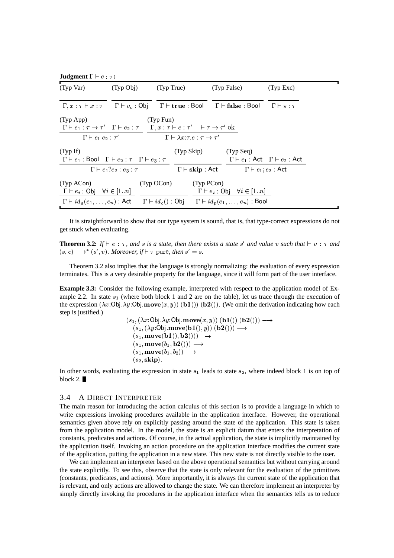| <b>Judgment</b> $\Gamma \vdash e : \tau$ : |  |  |  |  |  |  |
|--------------------------------------------|--|--|--|--|--|--|
|--------------------------------------------|--|--|--|--|--|--|

| (Typ Var)                                                                                                                                                                                                                               | (Typ Obj)                                                                                   | (Typ True)                                                                           |            | (Typ False)                                                 | (Typ Exc)                                                                 |
|-----------------------------------------------------------------------------------------------------------------------------------------------------------------------------------------------------------------------------------------|---------------------------------------------------------------------------------------------|--------------------------------------------------------------------------------------|------------|-------------------------------------------------------------|---------------------------------------------------------------------------|
| $\Gamma, x : \tau \vdash x : \tau$ $\Gamma \vdash v_o : 0$ bj $\Gamma \vdash$ true : Bool $\Gamma \vdash$ false : Bool $\Gamma \vdash \star : \tau$                                                                                     |                                                                                             |                                                                                      |            |                                                             |                                                                           |
| (Typ App)<br>$\Gamma \vdash e_1 : \tau \to \tau'$ $\Gamma \vdash e_2 : \tau$ $\Gamma, x : \tau \vdash e : \tau'$ $\vdash \tau \to \tau'$ ok                                                                                             | $\Gamma \vdash e_1 \ e_2 : \tau'$ $\Gamma \vdash \lambda x : \tau \cdot e : \tau \to \tau'$ | (Typ Fun)                                                                            |            |                                                             |                                                                           |
| (TypIf)<br>$\Gamma \vdash e_1 : \text{Bool}$ $\Gamma \vdash e_2 : \tau$ $\Gamma \vdash e_3 : \tau$                                                                                                                                      |                                                                                             | (Typ Skip)                                                                           |            | (Typ Seq)                                                   | $\Gamma \vdash e_1 : \mathsf{Act} \quad \Gamma \vdash e_2 : \mathsf{Act}$ |
|                                                                                                                                                                                                                                         | $\Gamma \vdash e_1?e_2 : e_3 : \tau$                                                        | $\Gamma \vdash \mathbf{skip} : \mathsf{Act}$ $\Gamma \vdash e_1; e_2 : \mathsf{Act}$ |            |                                                             |                                                                           |
| (Typ ACon)<br>$\Gamma \vdash e_i : \text{Obj} \quad \forall i \in [1n]$<br>$\Gamma \vdash id_a(e_1, \ldots, e_n) : \mathsf{Act} \qquad \Gamma \vdash id_c() : \mathsf{Obj} \qquad \Gamma \vdash id_p(e_1, \ldots, e_n) : \mathsf{Bool}$ |                                                                                             | (Typ OCon)                                                                           | (Typ PCon) | $\Gamma \vdash e_i : \mathsf{Obj} \quad \forall i \in [1n]$ |                                                                           |

It is straightforward to show that our type system is sound, that is, that type-correct expressions do not get stuck when evaluating.

**Theorem 3.2:** If  $\vdash e : \tau$ , and s is a state, then there exists a state s' and value v such that  $\vdash v : \tau$  and  $(s, e) \rightarrow^* (s', v)$ . Moreover, if  $\vdash \tau$  pure, then  $s' = s$ .

Theorem 3.2 also implies that the language is strongly normalizing: the evaluation of every expression terminates. This is a very desirable property for the language, since it will form part of the user interface.

**Example 3.3:** Consider the following example, interpreted with respect to the application model of Example 2.2. In state  $s_1$  (where both block 1 and 2 are on the table), let us trace through the execution of the expression  $(\lambda x: 0b) \cdot \lambda y: 0b$ . move $(x, y)$  (b1()) (b2()). (We omit the derivation indicating how each step is justified.)

$$
(s_1, (\lambda x:\text{Obj}.\lambda y:\text{Obj}.\text{move}(x, y))\ (\mathbf{b1}())\ (\mathbf{b2}))) \longrightarrow \\ (s_1, (\lambda y:\text{Obj}.\text{move}(\mathbf{b1}(), y))\ (\mathbf{b2}))) \longrightarrow \\ (s_1, \text{move}(\mathbf{b1}(), \mathbf{b2}))) \longrightarrow \\ (s_1, \text{move}(b_1, \mathbf{b2}))) \longrightarrow \\ (s_1, \text{move}(b_1, b_2)) \longrightarrow \\ (s_2, \text{skip}).
$$

In other words, evaluating the expression in state  $s_1$  leads to state  $s_2$ , where indeed block 1 is on top of block  $2.$ 

# 3.4 A DIRECT INTERPRETER

The main reason for introducing the action calculus of this section is to provide a language in which to write expressions invoking procedures available in the application interface. However, the operational semantics given above rely on explicitly passing around the state of the application. This state is taken from the application model. In the model, the state is an explicit datum that enters the interpretation of constants, predicates and actions. Of course, in the actual application, the state is implicitly maintained by the application itself. Invoking an action procedure on the application interface modifies the current state of the application, putting the application in a new state. This new state is not directly visible to the user.

We can implement an interpreter based on the above operational semantics but without carrying around the state explicitly. To see this, observe that the state is only relevant for the evaluation of the primitives (constants, predicates, and actions). More importantly, it is always the current state of the application that is relevant, and only actions are allowed to change the state. We can therefore implement an interpreter by simply directly invoking the procedures in the application interface when the semantics tells us to reduce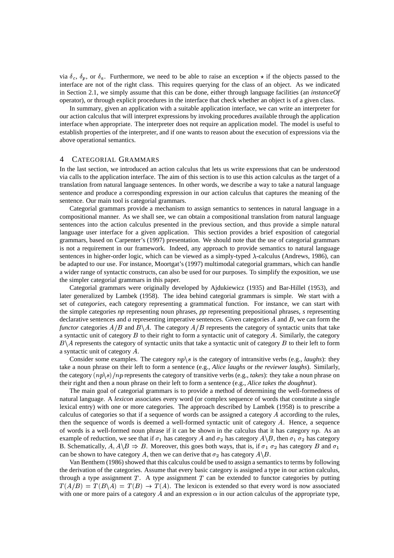via  $\delta_c$ ,  $\delta_p$ , or  $\delta_a$ . Furthermore, we need to be able to raise an exception  $\star$  if the objects passed to the interface are not of the right class. This requires querying for the class of an object. As we indicated in Section 2.1, we simply assume that this can be done, either through language facilities (an *instanceOf* operator), or through explicit procedures in the interface that check whether an object is of a given class.

In summary, given an application with a suitable application interface, we can write an interpreter for our action calculus that will interpret expressions by invoking procedures available through the application interface when appropriate. The interpreter does not require an application model. The model is useful to establish properties of the interpreter, and if one wants to reason about the execution of expressions via the above operational semantics.

### 4 CATEGORIAL GRAMMARS

In the last section, we introduced an action calculus that lets us write expressions that can be understood via calls to the application interface. The aim of this section is to use this action calculus as the target of a translation from natural language sentences. In other words, we describe a way to take a natural language sentence and produce a corresponding expression in our action calculus that captures the meaning of the sentence. Our main tool is categorial grammars.

Categorial grammars provide a mechanism to assign semantics to sentences in natural language in a compositional manner. As we shall see, we can obtain a compositional translation from natural language sentences into the action calculus presented in the previous section, and thus provide a simple natural language user interface for a given application. This section provides a brief exposition of categorial grammars, based on Carpenter's (1997) presentation. We should note that the use of categorial grammars is not a requirement in our framework. Indeed, any approach to provide semantics to natural language sentences in higher-order logic, which can be viewed as a simply-typed  $\lambda$ -calculus (Andrews, 1986), can be adapted to our use. For instance, Moortgat's (1997) multimodal categorial grammars, which can handle a wider range of syntactic constructs, can also be used for our purposes. To simplify the exposition, we use the simpler categorial grammars in this paper.

Categorial grammars were originally developed by Ajdukiewicz (1935) and Bar-Hillel (1953), and later generalized by Lambek (1958). The idea behind categorial grammars is simple. We start with a set of *categories*, each category representing a grammatical function. For instance, we can start with the simple categories *np* representing noun phrases, *pp* representing prepositional phrases, *s* representing declarative sentences and  $a$  representing imperative sentences. Given categories  $A$  and  $B$ , we can form the *functor* categories  $A/B$  and  $B\setminus A$ . The category  $A/B$  represents the category of syntactic units that take a syntactic unit of category  $B$  to their right to form a syntactic unit of category  $A$ . Similarly, the category  $B\setminus A$  represents the category of syntactic units that take a syntactic unit of category  $B$  to their left to form a syntactic unit of category  $A$ .

Consider some examples. The category  $np \succeq s$  is the category of intransitive verbs (e.g., *laughs*): they take a noun phrase on their left to form a sentence (e.g., *Alice laughs* or *the reviewer laughs*). Similarly, the category  $(np\backslash s)/np$  represents the category of transitive verbs (e.g., *takes*): they take a noun phrase on their right and then a noun phrase on their left to form a sentence (e.g., *Alice takes the doughnut*).

The main goal of categorial grammars is to provide a method of determining the well-formedness of natural language. A *lexicon* associates every word (or complex sequence of words that constitute a single lexical entry) with one or more categories. The approach described by Lambek (1958) is to prescribe a calculus of categories so that if a sequence of words can be assigned a category  $\hat{A}$  according to the rules, then the sequence of words is deemed a well-formed syntactic unit of category  $A$ . Hence, a sequence of words is a well-formed noun phrase if it can be shown in the calculus that it has category  $np$ . As an example of reduction, we see that if  $\sigma_1$  has category A and  $\sigma_2$  has category  $A \setminus B$ , then  $\sigma_1$   $\sigma_2$  has category B. Schematically,  $A, A \backslash B \Rightarrow B$ . Moreover, this goes both ways, that is, if  $\sigma_1 \sigma_2$  has category B and  $\sigma_1$ can be shown to have category A, then we can derive that  $\sigma_2$  has category  $A \setminus B$ .

Van Benthem (1986) showed that this calculus could be used to assign a semantics to terms by following the derivation of the categories. Assume that every basic category is assigned a type in our action calculus, through a type assignment  $T$ . A type assignment  $T$  can be extended to functor categories by putting  $T(A/B) = T(B \setminus A) = T(B) \rightarrow T(A)$ . The lexicon is extended so that every word is now associated with one or more pairs of a category A and an expression  $\alpha$  in our action calculus of the appropriate type,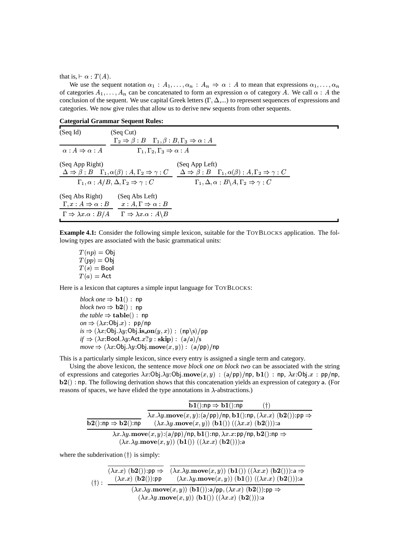that is,  $\vdash \alpha : T(A)$ .

We use the sequent notation  $\alpha_1 : A_1, \dots, \alpha_n : A_n \Rightarrow \alpha : A$  to mean that expressions  $\alpha_1, \dots, \alpha_n$ of categories  $A_1, \ldots, A_n$  can be concatenated to form an expression  $\alpha$  of category A. We call  $\alpha : A$  the conclusion of the sequent. We use capital Greek letters  $(\Gamma, \Delta,...)$  to represent sequences of expressions and categories. We now give rules that allow us to derive new sequents from other sequents.

 $\overline{\mathbf{1}}$ 

 $\overline{\phantom{0}}$ 

| <b>Categorial Grammar Sequent Rules:</b>                                                                   |                                                                                                                                                                        |                                                                                                                                                                                                     |  |  |
|------------------------------------------------------------------------------------------------------------|------------------------------------------------------------------------------------------------------------------------------------------------------------------------|-----------------------------------------------------------------------------------------------------------------------------------------------------------------------------------------------------|--|--|
| (SeqId)                                                                                                    | (Seq Cut)<br>$\Gamma_2 \Rightarrow \beta : B \quad \Gamma_1, \beta : B, \Gamma_3 \Rightarrow \alpha : A$                                                               |                                                                                                                                                                                                     |  |  |
| $\alpha:A\Rightarrow\alpha:A$                                                                              | $\Gamma_1, \Gamma_2, \Gamma_3 \Rightarrow \alpha : A$                                                                                                                  |                                                                                                                                                                                                     |  |  |
| (Seq App Right)                                                                                            | $\Delta \Rightarrow \beta : B \quad \Gamma_1, \alpha(\beta) : A, \Gamma_2 \Rightarrow \gamma : C$<br>$\Gamma_1, \alpha : A/B, \Delta, \Gamma_2 \Rightarrow \gamma : C$ | (Seq App Left)<br>$\Delta \Rightarrow \beta : B \quad \Gamma_1, \alpha(\beta) : A, \Gamma_2 \Rightarrow \gamma : C$<br>$\Gamma_1, \Delta, \alpha : B \backslash A, \Gamma_2 \Rightarrow \gamma : C$ |  |  |
| (Seq Abs Right)<br>$\Gamma, x:A \Rightarrow \alpha:B$<br>$\Gamma \Rightarrow \lambda x \cdot \alpha : B/A$ | (Seq Abs Left)<br>$x:A,\Gamma\Rightarrow\alpha:B$<br>$\Gamma \Rightarrow \lambda x \cdot \alpha : A \backslash B$                                                      |                                                                                                                                                                                                     |  |  |

**Example 4.1:** Consider the following simple lexicon, suitable for the TOYBLOCKS application. The following types are associated with the basic grammatical units:

 $T(np) = 0$ bj  $T(pp) = 0$ bj  $T(s) =$ Bool  $T(a) = Act$ 

Here is a lexicon that captures a simple input language for TOYBLOCKS:

block one  $\Rightarrow$  **b1**() : np block two  $\Rightarrow$  **b2**() : np the table  $\Rightarrow$  table() : np  $on \Rightarrow (\lambda x : 0b$ i. $x) : pp(np)$  $is \Rightarrow (\lambda x : 0 \text{bj.} \lambda y : 0 \text{bj.} \mathbf{is\_on}(y, x)) : (\text{np}\langle \text{s} \rangle / \text{pp})$  $if \Rightarrow (\lambda x: \text{Bool}.\lambda y: \text{Act}.x?y: \textbf{skip}) : (a/a)/s$  $move \Rightarrow (\lambda x \cdot Ob \cdot \lambda y \cdot Ob \cdot \textbf{move}(x, y)) : (a/pp)/np$ 

This is a particularly simple lexicon, since every entry is assigned a single term and category.

Using the above lexicon, the sentence *move block one on block two* can be associated with the string of expressions and categories  $\lambda x$ :Obj. $\lambda y$ :Obj. $m$ ove $(x, y)$ :  $(a/pp)/np$ , b1 $()$ : np,  $\lambda x$ :Obj. $x$ : pp/np,  $b2()$ : np. The following derivation shows that this concatenation yields an expression of category a. (For reasons of spaces, we have elided the type annotations in  $\lambda$ -abstractions.)

|                                                                 | $\mathbf{b1}()$ :np $\Rightarrow$ $\mathbf{b1}()$ :np<br>(†)                                                                                                                                                    |
|-----------------------------------------------------------------|-----------------------------------------------------------------------------------------------------------------------------------------------------------------------------------------------------------------|
| $\mathbf{b2}():\mathsf{np}\Rightarrow\mathbf{b2}():\mathsf{np}$ | $\lambda x.\lambda y.\textbf{move}(x, y):$ (a/pp)/np, b1():np, $(\lambda x.x)$ (b2()):pp $\Rightarrow$<br>$(\lambda x.\lambda y.\textbf{move}(x, y))$ $(\textbf{b1}())$ $((\lambda x.x)$ $(\textbf{b2}())$ :a   |
|                                                                 | $\lambda x.\lambda y.\text{move}(x, y):$ (a/pp)/np, b1():np, $\lambda x.x$ :pp/np, b2():np $\Rightarrow$<br>$(\lambda x.\lambda y.\textbf{move}(x, y))$ $(\textbf{b1}())$ $((\lambda x.x)$ $(\textbf{b2}())$ :a |

where the subderivation  $(†)$  is simply:

| (f): | $(\lambda x.x)(\mathbf{b2})):\mathsf{pp}\Rightarrow$<br>$(\lambda x.x)$ ( <b>b2</b> ()):pp | $(\lambda x.\lambda y.\text{move}(x, y))$ (b1()) $((\lambda x.x)(b2)))$ :a $\Rightarrow$<br>$(\lambda x.\lambda y.\textbf{move}(x, y)) (\textbf{b1}()) ((\lambda x.x) (\textbf{b2}))).$ a |
|------|--------------------------------------------------------------------------------------------|-------------------------------------------------------------------------------------------------------------------------------------------------------------------------------------------|
|      |                                                                                            | $(\lambda x.\lambda y.\text{move}(x, y))$ (b1()):a/pp, $(\lambda x.x)$ (b2()):pp $\Rightarrow$<br>$(\lambda x.\lambda y.\textbf{move}(x, y))$ (b1()) $((\lambda x.x)(b2)))$ :a            |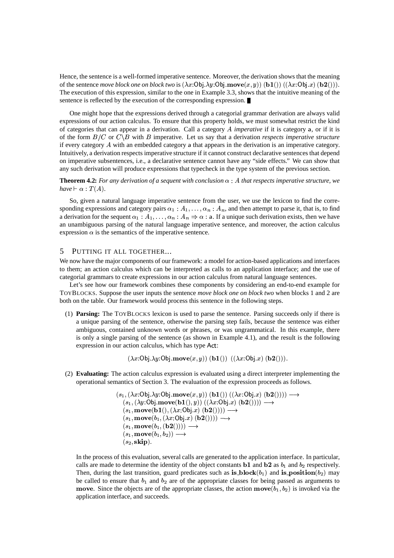Hence, the sentence is a well-formed imperative sentence. Moreover, the derivation shows that the meaning of the sentence *move block one on block two* is  $(\lambda x:\mathbf{Obj}.\lambda y:\mathbf{Obj}.\mathbf{move}(x, y))$   $(\mathbf{bl}(1))$   $((\lambda x:\mathbf{Obj}.x)$   $(\mathbf{b2})))$ . The execution of this expression, similar to the one in Example 3.3, shows that the intuitive meaning of the sentence is reflected by the execution of the corresponding expression.

One might hope that the expressions derived through a categorial grammar derivation are always valid expressions of our action calculus. To ensure that this property holds, we must somewhat restrict the kind of categories that can appear in a derivation. Call a category A imperative if it is category a, or if it is of the form  $B/C$  or  $C\backslash B$  with B imperative. Let us say that a derivation respects imperative structure if every category  $A$  with an embedded category a that appears in the derivation is an imperative category. Intuitively, a derivation respects imperative structure if it cannot construct declarative sentences that depend on imperative subsentences, i.e., a declarative sentence cannot have any "side effects." We can show that any such derivation will produce expressions that typecheck in the type system of the previous section.

**Theorem 4.2:** For any derivation of a sequent with conclusion  $\alpha$  : A that respects imperative structure, we have  $\vdash \alpha : T(A)$ .

So, given a natural language imperative sentence from the user, we use the lexicon to find the corresponding expressions and category pairs  $\alpha_1 : A_1, \ldots, \alpha_n : A_n$ , and then attempt to parse it, that is, to find a derivation for the sequent  $\alpha_1 : A_1, \dots, \alpha_n : A_n \Rightarrow \alpha : a$ . If a unique such derivation exists, then we have an unambiguous parsing of the natural language imperative sentence, and moreover, the action calculus expression  $\alpha$  is the semantics of the imperative sentence.

#### $\overline{5}$ PUTTING IT ALL TOGETHER...

We now have the major components of our framework: a model for action-based applications and interfaces to them; an action calculus which can be interpreted as calls to an application interface; and the use of categorial grammars to create expressions in our action calculus from natural language sentences.

Let's see how our framework combines these components by considering an end-to-end example for TOYBLOCKS. Suppose the user inputs the sentence *move block one on block two* when blocks 1 and 2 are both on the table. Our framework would process this sentence in the following steps.

(1) Parsing: The TOYBLOCKS lexicon is used to parse the sentence. Parsing succeeds only if there is a unique parsing of the sentence, otherwise the parsing step fails, because the sentence was either ambiguous, contained unknown words or phrases, or was ungrammatical. In this example, there is only a single parsing of the sentence (as shown in Example 4.1), and the result is the following expression in our action calculus, which has type Act:

 $(\lambda x:Obj.\lambda y:Obj.\textbf{move}(x, y))$   $(\mathbf{b1}())$   $((\lambda x:Obj.x)$   $(\mathbf{b2})))$ .

(2) Evaluating: The action calculus expression is evaluated using a direct interpreter implementing the operational semantics of Section 3. The evaluation of the expression proceeds as follows.

$$
(s_1, (\lambda x:\text{Obj}.\lambda y:\text{Obj}.\text{move}(x, y)) (b1()) ((\lambda x:\text{Obj}.\text{x}) (b2)))) \longrightarrow (s_1, (\lambda y:\text{Obj}.\text{move}(b1(), y)) ((\lambda x:\text{Obj}.\text{x}) (b2)))) \longrightarrow (s_1, \text{move}(b1(), (\lambda x:\text{Obj}.\text{x}) (b2)))) \longrightarrow (s_1, \text{move}(b_1, (\lambda x:\text{Obj}.\text{x}) (b2)))) \longrightarrow (s_1, \text{move}(b_1, (b2)))) \longrightarrow (s_1, \text{move}(b_1, b_2)) \longrightarrow (s_2, \text{skip}).
$$

In the process of this evaluation, several calls are generated to the application interface. In particular, calls are made to determine the identity of the object constants **b1** and **b2** as  $b_1$  and  $b_2$  respectively. Then, during the last transition, guard predicates such as is **block** $(b_1)$  and is **position** $(b_2)$  may be called to ensure that  $b_1$  and  $b_2$  are of the appropriate classes for being passed as arguments to move. Since the objects are of the appropriate classes, the action  $\mathbf{move}(b_1, b_2)$  is invoked via the application interface, and succeeds.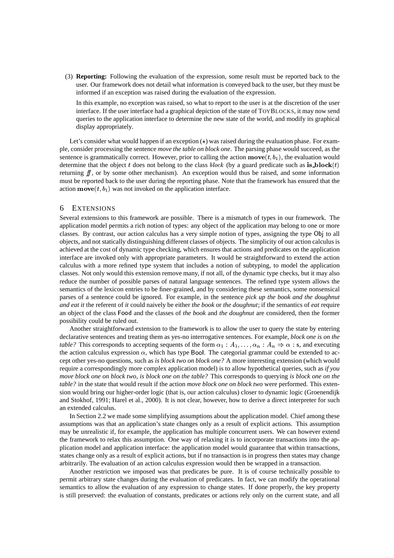(3) **Reporting:** Following the evaluation of the expression, some result must be reported back to the user. Our framework does not detail what information is conveyed back to the user, but they must be informed if an exception was raised during the evaluation of the expression.

In this example, no exception was raised, so what to report to the user is at the discretion of the user interface. If the user interface had a graphical depiction of the state of TOYBLOCKS, it may now send queries to the application interface to determine the new state of the world, and modify its graphical display appropriately.

Let's consider what would happen if an exception  $(\star)$  was raised during the evaluation phase. For example, consider processing the sentence *move the table on block one*. The parsing phase would succeed, as the sentence is grammatically correct. However, prior to calling the action  $\mathbf{move}(t, b_1)$ , the evaluation would determine that the object t does not belong to the class  $block$  (by a guard predicate such as is block (t) returning  $ff$ , or by some other mechanism). An exception would thus be raised, and some information must be reported back to the user during the reporting phase. Note that the framework has ensured that the action  $\mathbf{move}(t, b_1)$  was not invoked on the application interface.

### 6 EXTENSIONS

Several extensions to this framework are possible. There is a mismatch of types in our framework. The application model permits a rich notion of types: any object of the application may belong to one or more classes. By contrast, our action calculus has a very simple notion of types, assigning the type Obj to all objects, and not statically distinguishing different classes of objects. The simplicity of our action calculus is achieved at the cost of dynamic type checking, which ensures that actions and predicates on the application interface are invoked only with appropriate parameters. It would be straightforward to extend the action calculus with a more refined type system that includes a notion of subtyping, to model the application classes. Not only would this extension remove many, if not all, of the dynamic type checks, but it may also reduce the number of possible parses of natural language sentences. The refined type system allows the semantics of the lexicon entries to be finer-grained, and by considering these semantics, some nonsensical parses of a sentence could be ignored. For example, in the sentence *pick up the book and the doughnut and eat it* the referent of *it* could naively be either *the book* or *the doughnut*; if the semantics of *eat* require an object of the class Food and the classes of *the book* and *the doughnut* are considered, then the former possibility could be ruled out.

Another straightforward extension to the framework is to allow the user to query the state by entering declarative sentences and treating them as yes-no interrogative sentences. For example, *block one is on the table?* This corresponds to accepting sequents of the form  $\alpha_1 : A_1, \dots, \alpha_n : A_n \Rightarrow \alpha : s$ , and executing the action calculus expression  $\alpha$ , which has type Bool. The categorial grammar could be extended to accept other yes-no questions, such as *is block two on block one?* A more interesting extension (which would require a correspondingly more complex application model) is to allow hypothetical queries, such as *if you move block one on block two, is block one on the table?* This corresponds to querying *is block one on the table?* in the state that would result if the action *move block one on block two* were performed. This extension would bring our higher-order logic (that is, our action calculus) closer to dynamic logic (Groenendijk and Stokhof, 1991; Harel et al., 2000). It is not clear, however, how to derive a direct interpreter for such an extended calculus.

In Section 2.2 we made some simplifying assumptions about the application model. Chief among these assumptions was that an application's state changes only as a result of explicit actions. This assumption may be unrealistic if, for example, the application has multiple concurrent users. We can however extend the framework to relax this assumption. One way of relaxing it is to incorporate transactions into the application model and application interface: the application model would guarantee that within transactions, states change only as a result of explicit actions, but if no transaction is in progress then states may change arbitrarily. The evaluation of an action calculus expression would then be wrapped in a transaction.

Another restriction we imposed was that predicates be pure. It is of course technically possible to permit arbitrary state changes during the evaluation of predicates. In fact, we can modify the operational semantics to allow the evaluation of any expression to change states. If done properly, the key property is still preserved: the evaluation of constants, predicates or actions rely only on the current state, and all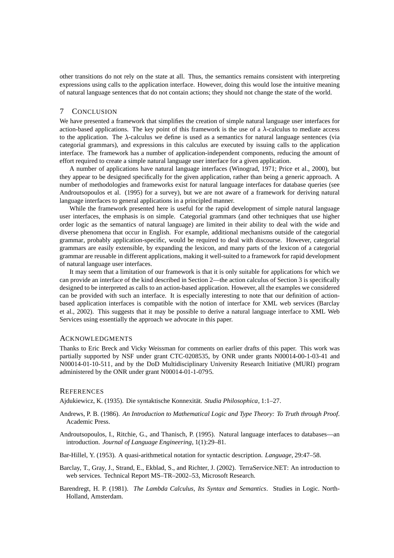other transitions do not rely on the state at all. Thus, the semantics remains consistent with interpreting expressions using calls to the application interface. However, doing this would lose the intuitive meaning of natural language sentences that do not contain actions; they should not change the state of the world.

# 7 CONCLUSION

We have presented a framework that simplifies the creation of simple natural language user interfaces for action-based applications. The key point of this framework is the use of a  $\lambda$ -calculus to mediate access to the application. The  $\lambda$ -calculus we define is used as a semantics for natural language sentences (via categorial grammars), and expressions in this calculus are executed by issuing calls to the application interface. The framework has a number of application-independent components, reducing the amount of effort required to create a simple natural language user interface for a given application.

A number of applications have natural language interfaces (Winograd, 1971; Price et al., 2000), but they appear to be designed specifically for the given application, rather than being a generic approach. A number of methodologies and frameworks exist for natural language interfaces for database queries (see Androutsopoulos et al. (1995) for a survey), but we are not aware of a framework for deriving natural language interfaces to general applications in a principled manner.

While the framework presented here is useful for the rapid development of simple natural language user interfaces, the emphasis is on simple. Categorial grammars (and other techniques that use higher order logic as the semantics of natural language) are limited in their ability to deal with the wide and diverse phenomena that occur in English. For example, additional mechanisms outside of the categorial grammar, probably application-specific, would be required to deal with discourse. However, categorial grammars are easily extensible, by expanding the lexicon, and many parts of the lexicon of a categorial grammar are reusable in different applications, making it well-suited to a framework for rapid development of natural language user interfaces.

It may seem that a limitation of our framework is that it is only suitable for applications for which we can provide an interface of the kind described in Section 2—the action calculus of Section 3 is specifically designed to be interpreted as calls to an action-based application. However, all the examples we considered can be provided with such an interface. It is especially interesting to note that our definition of actionbased application interfaces is compatible with the notion of interface for XML web services (Barclay et al., 2002). This suggests that it may be possible to derive a natural language interface to XML Web Services using essentially the approach we advocate in this paper.

### ACKNOWLEDGMENTS

Thanks to Eric Breck and Vicky Weissman for comments on earlier drafts of this paper. This work was partially supported by NSF under grant CTC-0208535, by ONR under grants N00014-00-1-03-41 and N00014-01-10-511, and by the DoD Multidisciplinary University Research Initiative (MURI) program administered by the ONR under grant N00014-01-1-0795.

#### **REFERENCES**

Ajdukiewicz, K. (1935). Die syntaktische Konnexitat. ¨ *Studia Philosophica*, 1:1–27.

Andrews, P. B. (1986). *An Introduction to Mathematical Logic and Type Theory: To Truth through Proof*. Academic Press.

Androutsopoulos, I., Ritchie, G., and Thanisch, P. (1995). Natural language interfaces to databases—an introduction. *Journal of Language Engineering*, 1(1):29–81.

Bar-Hillel, Y. (1953). A quasi-arithmetical notation for syntactic description. *Language*, 29:47–58.

- Barclay, T., Gray, J., Strand, E., Ekblad, S., and Richter, J. (2002). TerraService.NET: An introduction to web services. Technical Report MS–TR–2002–53, Microsoft Research.
- Barendregt, H. P. (1981). *The Lambda Calculus, Its Syntax and Semantics*. Studies in Logic. North-Holland, Amsterdam.